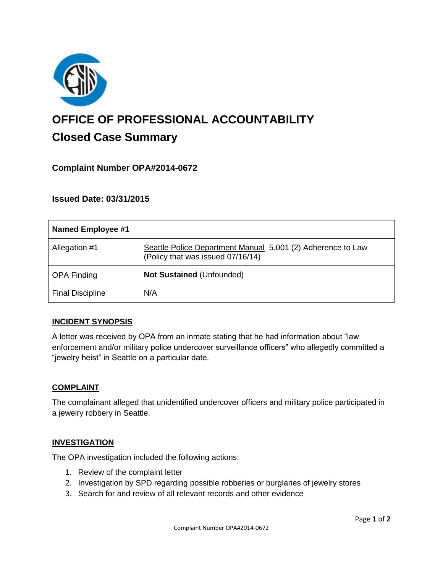

# **OFFICE OF PROFESSIONAL ACCOUNTABILITY Closed Case Summary**

## **Complaint Number OPA#2014-0672**

## **Issued Date: 03/31/2015**

| <b>Named Employee #1</b> |                                                                                                  |
|--------------------------|--------------------------------------------------------------------------------------------------|
| Allegation #1            | Seattle Police Department Manual 5.001 (2) Adherence to Law<br>(Policy that was issued 07/16/14) |
| <b>OPA Finding</b>       | <b>Not Sustained (Unfounded)</b>                                                                 |
| <b>Final Discipline</b>  | N/A                                                                                              |

#### **INCIDENT SYNOPSIS**

A letter was received by OPA from an inmate stating that he had information about "law enforcement and/or military police undercover surveillance officers" who allegedly committed a "jewelry heist" in Seattle on a particular date.

#### **COMPLAINT**

The complainant alleged that unidentified undercover officers and military police participated in a jewelry robbery in Seattle.

#### **INVESTIGATION**

The OPA investigation included the following actions:

- 1. Review of the complaint letter
- 2. Investigation by SPD regarding possible robberies or burglaries of jewelry stores
- 3. Search for and review of all relevant records and other evidence